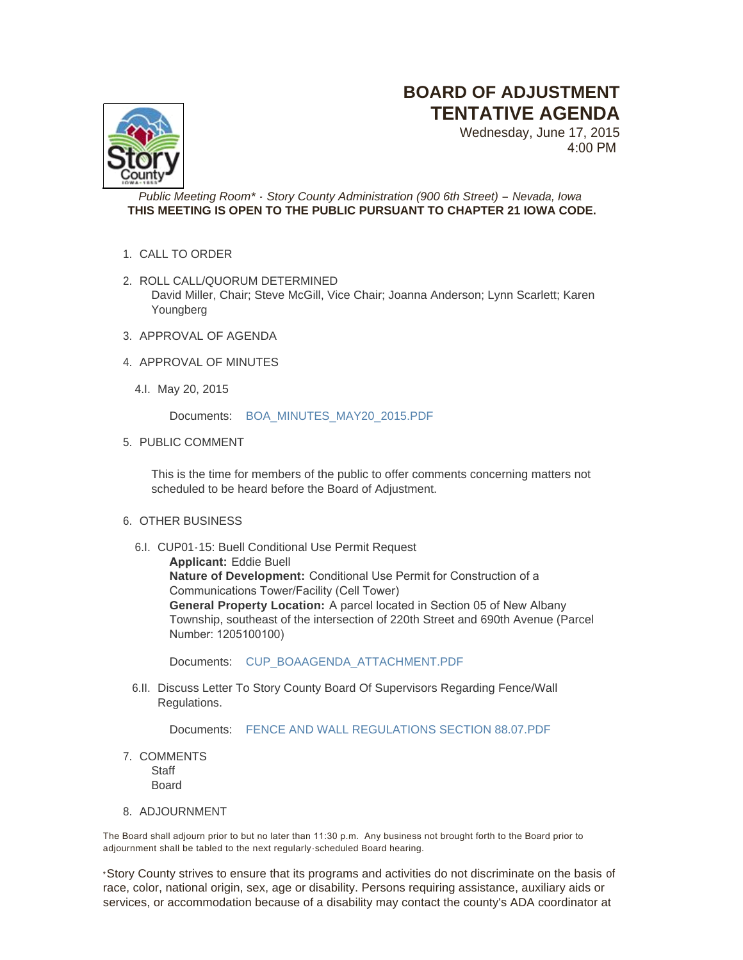## **BOARD OF ADJUSTMENT TENTATIVE AGENDA**

Wednesday, June 17, 2015 4:00 PM

*Public Meeting Room\* - Story County Administration (900 6th Street) – Nevada, Iowa* **THIS MEETING IS OPEN TO THE PUBLIC PURSUANT TO CHAPTER 21 IOWA CODE.**

- 1. CALL TO ORDER
- 2. ROLL CALL/QUORUM DETERMINED David Miller, Chair; Steve McGill, Vice Chair; Joanna Anderson; Lynn Scarlett; Karen Youngberg
- 3. APPROVAL OF AGENDA
- 4. APPROVAL OF MINUTES
	- May 20, 2015 4.I.

Documents: [BOA\\_MINUTES\\_MAY20\\_2015.PDF](http://www.storycountyiowa.gov/AgendaCenter/ViewFile/Item/4382?fileID=3635)

5. PUBLIC COMMENT

This is the time for members of the public to offer comments concerning matters not scheduled to be heard before the Board of Adjustment.

- 6. OTHER BUSINESS
	- 6.I. CUP01-15: Buell Conditional Use Permit Request **Applicant:** Eddie Buell **Nature of Development:** Conditional Use Permit for Construction of a Communications Tower/Facility (Cell Tower) **General Property Location:** A parcel located in Section 05 of New Albany Township, southeast of the intersection of 220th Street and 690th Avenue (Parcel Number: 1205100100)

Documents: [CUP\\_BOAAGENDA\\_ATTACHMENT.PDF](http://www.storycountyiowa.gov/AgendaCenter/ViewFile/Item/4392?fileID=3705)

6.II. Discuss Letter To Story County Board Of Supervisors Regarding Fence/Wall Regulations.

Documents: [FENCE AND WALL REGULATIONS SECTION 88.07.PDF](http://www.storycountyiowa.gov/AgendaCenter/ViewFile/Item/4548?fileID=3698)

7. COMMENTS **Staff** 

Board

8. ADJOURNMENT

The Board shall adjourn prior to but no later than 11:30 p.m. Any business not brought forth to the Board prior to adjournment shall be tabled to the next regularly -scheduled Board hearing.

\*Story County strives to ensure that its programs and activities do not discriminate on the basis of race, color, national origin, sex, age or disability. Persons requiring assistance, auxiliary aids or services, or accommodation because of a disability may contact the county's ADA coordinator at